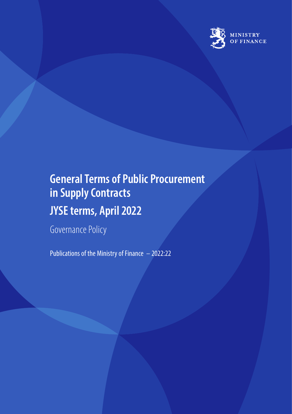

# **General Terms of Public Procurement in Supply Contracts JYSE terms, April 2022**

Governance Policy

Publications of the Ministry of Finance – 2022:22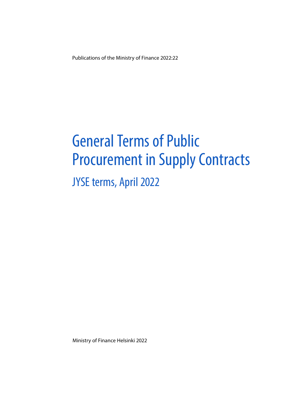Publications of the Ministry of Finance 2022:22

# General Terms of Public Procurement in Supply Contracts

# JYSE terms, April 2022

Ministry of Finance Helsinki 2022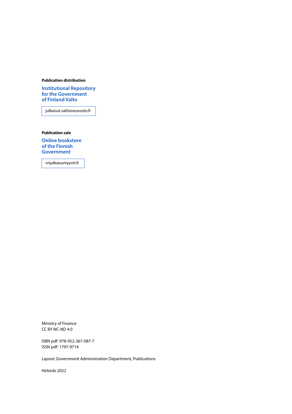#### **Publication distribution**

**[Institutional Repository](https://julkaisut.valtioneuvosto.fi/) for the Government of Finland Valto**

julkaisut.valtioneuvosto.fi

**Publication sale**

**[Online bookstore](https://vnjulkaisumyynti.fi/)  of the Finnish Government**

vnjulkaisumyynti.fi

Ministry of Finance CC BY-NC-ND 4.0

ISBN pdf: 978-952-367-087-7 ISSN pdf: 1797-9714

Layout: Government Administration Department, Publications

Helsinki 2022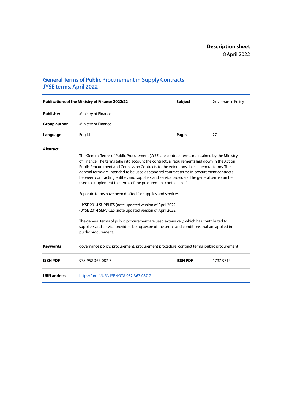### **General Terms of Public Procurement in Supply Contracts JYSE terms, April 2022**

| <b>Publications of the Ministry of Finance 2022:22</b> |                     | <b>Subject</b> | Governance Policy |
|--------------------------------------------------------|---------------------|----------------|-------------------|
| Publisher                                              | Ministry of Finance |                |                   |
| <b>Group author</b>                                    | Ministry of Finance |                |                   |
| Language                                               | English             | <b>Pages</b>   | 27                |

#### **Abstract**

The General Terms of Public Procurement (JYSE) are contract terms maintained by the Ministry of Finance. The terms take into account the contractual requirements laid down in the Act on Public Procurement and Concession Contracts to the extent possible in general terms. The general terms are intended to be used as standard contract terms in procurement contracts between contracting entities and suppliers and service providers. The general terms can be used to supplement the terms of the procurement contact itself.

Separate terms have been drafted for supplies and services:

- JYSE 2014 SUPPLIES (note updated version of April 2022) - JYSE 2014 SERVICES (note updated version of April 2022

The general terms of public procurement are used extensively, which has contributed to suppliers and service providers being aware of the terms and conditions that are applied in public procurement.

**Keywords** governance policy, procurement, procurement procedure, contract terms, public procurement

| <b>ISBN PDF</b>    | 978-952-367-087-7                         | <b>ISSN PDF</b> | 1797-9714 |
|--------------------|-------------------------------------------|-----------------|-----------|
| <b>URN</b> address | https://urn.fi/URN:ISBN:978-952-367-087-7 |                 |           |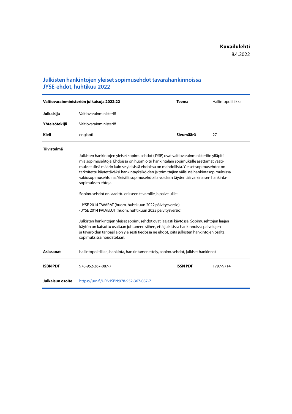### **Julkisten hankintojen yleiset sopimusehdot tavarahankinnoissa JYSE-ehdot, huhtikuu 2022**

| Valtiovarainministeriön julkaisuja 2022:22 |                                                                                                                                                                                                                                                                                                                                                                                                                                                                                                                                                                                                                                                                                                                                                                                                                                                                                                                                                                                                       | <b>Teema</b> | Hallintopolitiikka |
|--------------------------------------------|-------------------------------------------------------------------------------------------------------------------------------------------------------------------------------------------------------------------------------------------------------------------------------------------------------------------------------------------------------------------------------------------------------------------------------------------------------------------------------------------------------------------------------------------------------------------------------------------------------------------------------------------------------------------------------------------------------------------------------------------------------------------------------------------------------------------------------------------------------------------------------------------------------------------------------------------------------------------------------------------------------|--------------|--------------------|
| Julkaisija                                 | Valtiovarainministeriö                                                                                                                                                                                                                                                                                                                                                                                                                                                                                                                                                                                                                                                                                                                                                                                                                                                                                                                                                                                |              |                    |
| Yhteisötekijä                              | Valtiovarainministeriö                                                                                                                                                                                                                                                                                                                                                                                                                                                                                                                                                                                                                                                                                                                                                                                                                                                                                                                                                                                |              |                    |
| <b>Kieli</b>                               | englanti                                                                                                                                                                                                                                                                                                                                                                                                                                                                                                                                                                                                                                                                                                                                                                                                                                                                                                                                                                                              | Sivumäärä    | 27                 |
| <b>Tiivistelmä</b>                         | Julkisten hankintojen yleiset sopimusehdot (JYSE) ovat valtiovarainministeriön ylläpitä-<br>miä sopimusehtoja. Ehdoissa on huomioitu hankintalain sopimuksille asettamat vaati-<br>mukset siinä määrin kuin se yleisissä ehdoissa on mahdollista. Yleiset sopimusehdot on<br>tarkoitettu käytettäväksi hankintayksiköiden ja toimittajien välisissä hankintasopimuksissa<br>vakiosopimusehtoina. Yleisillä sopimusehdoilla voidaan täydentää varsinaisen hankinta-<br>sopimuksen ehtoja.<br>Sopimusehdot on laadittu erikseen tavaroille ja palveluille:<br>- JYSE 2014 TAVARAT (huom. huhtikuun 2022 päivitysversio)<br>- JYSE 2014 PALVELUT (huom. huhtikuun 2022 päivitysversio)<br>Julkisten hankintojen yleiset sopimusehdot ovat laajasti käytössä. Sopimusehtojen laajan<br>käytön on katsottu osaltaan johtaneen siihen, että julkisissa hankinnoissa palvelujen<br>ja tavaroiden tarjoajilla on yleisesti tiedossa ne ehdot, joita julkisten hankintojen osalta<br>sopimuksissa noudatetaan. |              |                    |
| Asiasanat                                  | hallintopolitiikka, hankinta, hankintamenettely, sopimusehdot, julkiset hankinnat                                                                                                                                                                                                                                                                                                                                                                                                                                                                                                                                                                                                                                                                                                                                                                                                                                                                                                                     |              |                    |

**ISBN PDF** 978-952-367-087-7 **ISSN PDF** 1797-9714

**Julkaisun osoite** <https://urn.fi/URN:ISBN:978-952-367-087-7>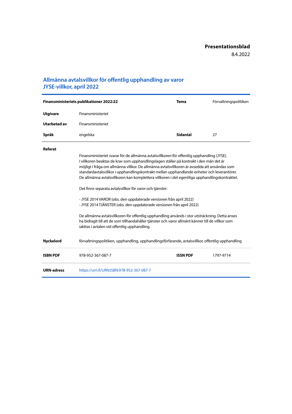### **Allmänna avtalsvillkor för offentlig upphandling av varor JYSE-villkor, april 2022**

| Finansministeriets publikationer 2022:22 |                                                                                                                                                                                                                                                                                                                                                                                                                                                                                     | <b>Tema</b>     | Förvaltningspolitiken |
|------------------------------------------|-------------------------------------------------------------------------------------------------------------------------------------------------------------------------------------------------------------------------------------------------------------------------------------------------------------------------------------------------------------------------------------------------------------------------------------------------------------------------------------|-----------------|-----------------------|
| <b>Utgivare</b>                          | Finansministeriet                                                                                                                                                                                                                                                                                                                                                                                                                                                                   |                 |                       |
| Utarbetad av                             | Finansministeriet                                                                                                                                                                                                                                                                                                                                                                                                                                                                   |                 |                       |
| Språk                                    | engelska                                                                                                                                                                                                                                                                                                                                                                                                                                                                            | <b>Sidantal</b> | 27                    |
| Referat                                  |                                                                                                                                                                                                                                                                                                                                                                                                                                                                                     |                 |                       |
|                                          | Finansministeriet svarar för de allmänna avtalsvillkoren för offentlig upphandling (JYSE).<br>I villkoren beaktas de krav som upphandlingslagen ställer på kontrakt i den mån det är<br>möjligt i fråga om allmänna villkor. De allmänna avtalsvillkoren är avsedda att användas som<br>standardavtalsvillkor i upphandlingskontrakt mellan upphandlande enheter och leverantörer.<br>De allmänna avtalsvillkoren kan komplettera villkoren i det egentliga upphandlingskontraktet. |                 |                       |
|                                          | Det finns separata avtalsvillkor för varor och tjänster:                                                                                                                                                                                                                                                                                                                                                                                                                            |                 |                       |
|                                          | - JYSE 2014 VAROR (obs. den uppdaterade versionen från april 2022)<br>- JYSE 2014 TJÄNSTER (obs. den uppdaterade versionen från april 2022)                                                                                                                                                                                                                                                                                                                                         |                 |                       |
|                                          | De allmänna avtalsvillkoren för offentlig upphandling används i stor utsträckning. Detta anses<br>ha bidragit till att de som tillhandahåller tjänster och varor allmänt känner till de villkor som<br>jakttas i avtalen vid offentlig upphandling.                                                                                                                                                                                                                                 |                 |                       |
| <b>Nyckelord</b>                         | förvaltningspolitiken, upphandling, upphandlingsförfarande, avtalsvillkor, offentlig upphandling                                                                                                                                                                                                                                                                                                                                                                                    |                 |                       |
| <b>ISBN PDF</b>                          | 978-952-367-087-7                                                                                                                                                                                                                                                                                                                                                                                                                                                                   | <b>ISSN PDF</b> | 1797-9714             |
| <b>URN-adress</b>                        | https://urn.fi/URN:ISBN:978-952-367-087-7                                                                                                                                                                                                                                                                                                                                                                                                                                           |                 |                       |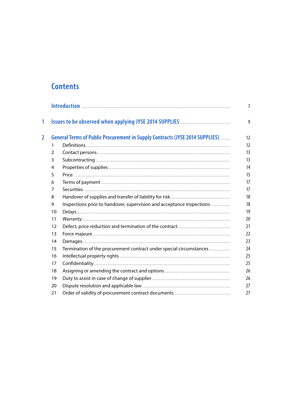## **Contents**

|                |    |                                                                              | $\overline{7}$ |
|----------------|----|------------------------------------------------------------------------------|----------------|
| 1              |    |                                                                              | 9              |
| $\overline{2}$ |    | General Terms of Public Procurement in Supply Contracts (JYSE 2014 SUPPLIES) | 12             |
|                | 1  |                                                                              | 12             |
|                | 2  |                                                                              | 13             |
|                | 3  |                                                                              | 13             |
|                | 4  |                                                                              | 14             |
|                | 5  |                                                                              | 15             |
|                | 6  |                                                                              | 17             |
|                | 7  |                                                                              | 17             |
|                | 8  |                                                                              | 18             |
|                | 9  | Inspections prior to handover, supervision and acceptance inspections        | 18             |
|                | 10 |                                                                              | 19             |
|                | 11 |                                                                              | 20             |
|                | 12 |                                                                              | 21             |
|                | 13 |                                                                              | 22             |
|                | 14 |                                                                              | 23             |
|                | 15 | Termination of the procurement contract under special circumstances          | 24             |
|                | 16 |                                                                              | 25             |
|                | 17 |                                                                              | 25             |
|                | 18 |                                                                              | 26             |
|                | 19 |                                                                              | 26             |
|                | 20 |                                                                              | 27             |
|                | 21 |                                                                              | 27             |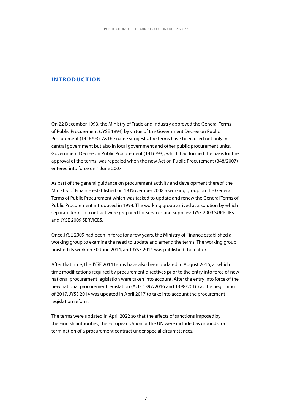#### <span id="page-7-0"></span>**INTRODUCTION**

On 22 December 1993, the Ministry of Trade and Industry approved the General Terms of Public Procurement (JYSE 1994) by virtue of the Government Decree on Public Procurement (1416/93). As the name suggests, the terms have been used not only in central government but also in local government and other public procurement units. Government Decree on Public Procurement (1416/93), which had formed the basis for the approval of the terms, was repealed when the new Act on Public Procurement (348/2007) entered into force on 1 June 2007.

As part of the general guidance on procurement activity and development thereof, the Ministry of Finance established on 18 November 2008 a working group on the General Terms of Public Procurement which was tasked to update and renew the General Terms of Public Procurement introduced in 1994. The working group arrived at a solution by which separate terms of contract were prepared for services and supplies: JYSE 2009 SUPPLIES and JYSE 2009 SERVICES.

Once JYSE 2009 had been in force for a few years, the Ministry of Finance established a working group to examine the need to update and amend the terms. The working group finished its work on 30 June 2014, and JYSE 2014 was published thereafter.

After that time, the JYSE 2014 terms have also been updated in August 2016, at which time modifications required by procurement directives prior to the entry into force of new national procurement legislation were taken into account. After the entry into force of the new national procurement legislation (Acts 1397/2016 and 1398/2016) at the beginning of 2017, JYSE 2014 was updated in April 2017 to take into account the procurement legislation reform.

The terms were updated in April 2022 so that the effects of sanctions imposed by the Finnish authorities, the European Union or the UN were included as grounds for termination of a procurement contract under special circumstances.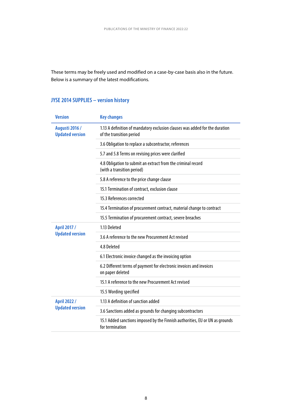These terms may be freely used and modified on a case-by-case basis also in the future. Below is a summary of the latest modifications.

### **JYSE 2014 SUPPLIES – version history**

| <b>Version</b>                                  | <b>Key changes</b>                                                                                      |
|-------------------------------------------------|---------------------------------------------------------------------------------------------------------|
| <b>Augusti 2016 /</b><br><b>Updated version</b> | 1.13 A definition of mandatory exclusion clauses was added for the duration<br>of the transition period |
|                                                 | 3.6 Obligation to replace a subcontractor, references                                                   |
|                                                 | 5.7 and 5.8 Terms on revising prices were clarified                                                     |
|                                                 | 4.8 Obligation to submit an extract from the criminal record<br>(with a transition period)              |
|                                                 | 5.8 A reference to the price change clause                                                              |
|                                                 | 15.1 Termination of contract, exclusion clause                                                          |
|                                                 | 15.3 References corrected                                                                               |
|                                                 | 15.4 Termination of procurement contract, material change to contract                                   |
|                                                 | 15.5 Termination of procurement contract, severe breaches                                               |
| April 2017 /                                    | 1.13 Deleted                                                                                            |
| <b>Updated version</b>                          | 3.6 A reference to the new Procurement Act revised                                                      |
|                                                 | 4.8 Deleted                                                                                             |
|                                                 | 6.1 Electronic invoice changed as the invoicing option                                                  |
|                                                 | 6.2 Different terms of payment for electronic invoices and invoices<br>on paper deleted                 |
|                                                 | 15.1 A reference to the new Procurement Act revised                                                     |
|                                                 | 15.5 Wording specified                                                                                  |
| April 2022 /                                    | 1.13 A definition of sanction added                                                                     |
| <b>Updated version</b>                          | 3.6 Sanctions added as grounds for changing subcontractors                                              |
|                                                 | 15.1 Added sanctions imposed by the Finnish authorities, EU or UN as grounds<br>for termination         |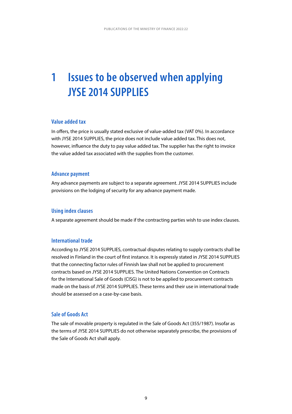# <span id="page-9-0"></span>**1 Issues to be observed when applying JYSE 2014 SUPPLIES**

#### **Value added tax**

In offers, the price is usually stated exclusive of value-added tax (VAT 0%). In accordance with JYSE 2014 SUPPLIES, the price does not include value added tax. This does not, however, influence the duty to pay value added tax. The supplier has the right to invoice the value added tax associated with the supplies from the customer.

#### **Advance payment**

Any advance payments are subject to a separate agreement. JYSE 2014 SUPPLIES include provisions on the lodging of security for any advance payment made.

#### **Using index clauses**

A separate agreement should be made if the contracting parties wish to use index clauses.

#### **International trade**

According to JYSE 2014 SUPPLIES, contractual disputes relating to supply contracts shall be resolved in Finland in the court of first instance. It is expressly stated in JYSE 2014 SUPPLIES that the connecting factor rules of Finnish law shall not be applied to procurement contracts based on JYSE 2014 SUPPLIES. The United Nations Convention on Contracts for the International Sale of Goods (CISG) is not to be applied to procurement contracts made on the basis of JYSE 2014 SUPPLIES. These terms and their use in international trade should be assessed on a case-by-case basis.

#### **Sale of Goods Act**

The sale of movable property is regulated in the Sale of Goods Act (355/1987). Insofar as the terms of JYSE 2014 SUPPLIES do not otherwise separately prescribe, the provisions of the Sale of Goods Act shall apply.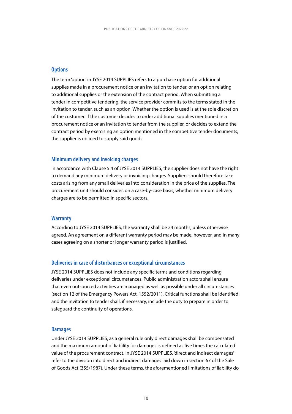#### **Options**

The term 'option' in JYSE 2014 SUPPLIES refers to a purchase option for additional supplies made in a procurement notice or an invitation to tender, or an option relating to additional supplies or the extension of the contract period. When submitting a tender in competitive tendering, the service provider commits to the terms stated in the invitation to tender, such as an option. Whether the option is used is at the sole discretion of the customer. If the customer decides to order additional supplies mentioned in a procurement notice or an invitation to tender from the supplier, or decides to extend the contract period by exercising an option mentioned in the competitive tender documents, the supplier is obliged to supply said goods.

#### **Minimum delivery and invoicing charges**

In accordance with Clause 5.4 of JYSE 2014 SUPPLIES, the supplier does not have the right to demand any minimum delivery or invoicing charges. Suppliers should therefore take costs arising from any small deliveries into consideration in the price of the supplies. The procurement unit should consider, on a case-by-case basis, whether minimum delivery charges are to be permitted in specific sectors.

#### **Warranty**

According to JYSE 2014 SUPPLIES, the warranty shall be 24 months, unless otherwise agreed. An agreement on a different warranty period may be made, however, and in many cases agreeing on a shorter or longer warranty period is justified.

#### **Deliveries in case of disturbances or exceptional circumstances**

JYSE 2014 SUPPLIES does not include any specific terms and conditions regarding deliveries under exceptional circumstances. Public administration actors shall ensure that even outsourced activities are managed as well as possible under all circumstances (section 12 of the Emergency Powers Act, 1552/2011). Critical functions shall be identified and the invitation to tender shall, if necessary, include the duty to prepare in order to safeguard the continuity of operations.

#### **Damages**

Under JYSE 2014 SUPPLIES, as a general rule only direct damages shall be compensated and the maximum amount of liability for damages is defined as five times the calculated value of the procurement contract. In JYSE 2014 SUPPLIES, 'direct and indirect damages' refer to the division into direct and indirect damages laid down in section 67 of the Sale of Goods Act (355/1987). Under these terms, the aforementioned limitations of liability do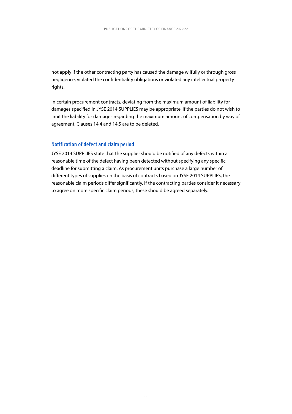not apply if the other contracting party has caused the damage wilfully or through gross negligence, violated the confidentiality obligations or violated any intellectual property rights.

In certain procurement contracts, deviating from the maximum amount of liability for damages specified in JYSE 2014 SUPPLIES may be appropriate. If the parties do not wish to limit the liability for damages regarding the maximum amount of compensation by way of agreement, Clauses 14.4 and 14.5 are to be deleted.

#### **Notification of defect and claim period**

JYSE 2014 SUPPLIES state that the supplier should be notified of any defects within a reasonable time of the defect having been detected without specifying any specific deadline for submitting a claim. As procurement units purchase a large number of different types of supplies on the basis of contracts based on JYSE 2014 SUPPLIES, the reasonable claim periods differ significantly. If the contracting parties consider it necessary to agree on more specific claim periods, these should be agreed separately.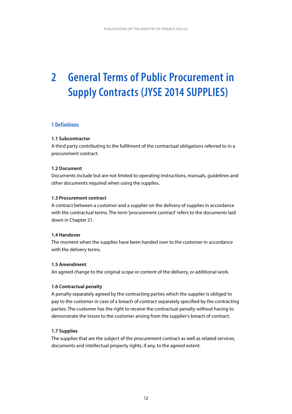# <span id="page-12-0"></span>**2 General Terms of Public Procurement in Supply Contracts (JYSE 2014 SUPPLIES)**

#### **1 Definitions**

#### **1.1 Subcontractor**

A third party contributing to the fulfilment of the contractual obligations referred to in a procurement contract.

#### **1.2 Document**

Documents include but are not limited to operating instructions, manuals, guidelines and other documents required when using the supplies.

#### **1.3 Procurement contract**

A contract between a customer and a supplier on the delivery of supplies in accordance with the contractual terms. The term 'procurement contract' refers to the documents laid down in Chapter 21.

#### **1.4 Handover**

The moment when the supplies have been handed over to the customer in accordance with the delivery terms.

#### **1.5 Amendment**

An agreed change to the original scope or content of the delivery, or additional work.

#### **1.6 Contractual penalty**

A penalty separately agreed by the contracting parties which the supplier is obliged to pay to the customer in case of a breach of contract separately specified by the contracting parties. The customer has the right to receive the contractual penalty without having to demonstrate the losses to the customer arising from the supplier's breach of contract.

#### **1.7 Supplies**

The supplies that are the subject of the procurement contract as well as related services, documents and intellectual property rights, if any, to the agreed extent.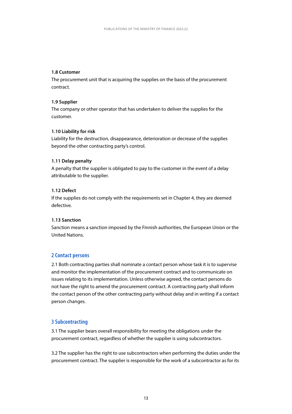#### <span id="page-13-0"></span>**1.8 Customer**

The procurement unit that is acquiring the supplies on the basis of the procurement contract.

#### **1.9 Supplier**

The company or other operator that has undertaken to deliver the supplies for the customer.

#### **1.10 Liability for risk**

Liability for the destruction, disappearance, deterioration or decrease of the supplies beyond the other contracting party's control.

#### **1.11 Delay penalty**

A penalty that the supplier is obligated to pay to the customer in the event of a delay attributable to the supplier.

#### **1.12 Defect**

If the supplies do not comply with the requirements set in Chapter 4, they are deemed defective.

#### **1.13 Sanction**

Sanction means a sanction imposed by the Finnish authorities, the European Union or the United Nations.

#### **2 Contact persons**

2.1 Both contracting parties shall nominate a contact person whose task it is to supervise and monitor the implementation of the procurement contract and to communicate on issues relating to its implementation. Unless otherwise agreed, the contact persons do not have the right to amend the procurement contract. A contracting party shall inform the contact person of the other contracting party without delay and in writing if a contact person changes.

#### **3 Subcontracting**

3.1 The supplier bears overall responsibility for meeting the obligations under the procurement contract, regardless of whether the supplier is using subcontractors.

3.2 The supplier has the right to use subcontractors when performing the duties under the procurement contract. The supplier is responsible for the work of a subcontractor as for its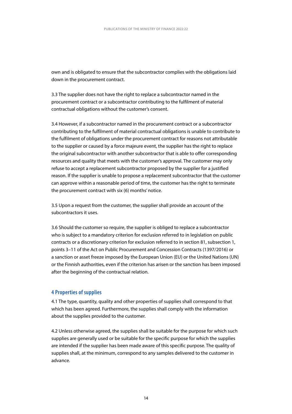<span id="page-14-0"></span>own and is obligated to ensure that the subcontractor complies with the obligations laid down in the procurement contract.

3.3 The supplier does not have the right to replace a subcontractor named in the procurement contract or a subcontractor contributing to the fulfilment of material contractual obligations without the customer's consent.

3.4 However, if a subcontractor named in the procurement contract or a subcontractor contributing to the fulfilment of material contractual obligations is unable to contribute to the fulfilment of obligations under the procurement contract for reasons not attributable to the supplier or caused by a force majeure event, the supplier has the right to replace the original subcontractor with another subcontractor that is able to offer corresponding resources and quality that meets with the customer's approval. The customer may only refuse to accept a replacement subcontractor proposed by the supplier for a justified reason. If the supplier is unable to propose a replacement subcontractor that the customer can approve within a reasonable period of time, the customer has the right to terminate the procurement contract with six (6) months' notice.

3.5 Upon a request from the customer, the supplier shall provide an account of the subcontractors it uses.

3.6 Should the customer so require, the supplier is obliged to replace a subcontractor who is subject to a mandatory criterion for exclusion referred to in legislation on public contracts or a discretionary criterion for exclusion referred to in section 81, subsection 1, points 3–11 of the Act on Public Procurement and Concession Contracts (1397/2016) or a sanction or asset freeze imposed by the European Union (EU) or the United Nations (UN) or the Finnish authorities, even if the criterion has arisen or the sanction has been imposed after the beginning of the contractual relation.

#### **4 Properties of supplies**

4.1 The type, quantity, quality and other properties of supplies shall correspond to that which has been agreed. Furthermore, the supplies shall comply with the information about the supplies provided to the customer.

4.2 Unless otherwise agreed, the supplies shall be suitable for the purpose for which such supplies are generally used or be suitable for the specific purpose for which the supplies are intended if the supplier has been made aware of this specific purpose. The quality of supplies shall, at the minimum, correspond to any samples delivered to the customer in advance.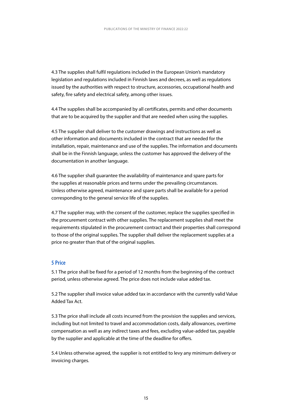<span id="page-15-0"></span>4.3 The supplies shall fulfil regulations included in the European Union's mandatory legislation and regulations included in Finnish laws and decrees, as well as regulations issued by the authorities with respect to structure, accessories, occupational health and safety, fire safety and electrical safety, among other issues.

4.4 The supplies shall be accompanied by all certificates, permits and other documents that are to be acquired by the supplier and that are needed when using the supplies.

4.5 The supplier shall deliver to the customer drawings and instructions as well as other information and documents included in the contract that are needed for the installation, repair, maintenance and use of the supplies. The information and documents shall be in the Finnish language, unless the customer has approved the delivery of the documentation in another language.

4.6 The supplier shall guarantee the availability of maintenance and spare parts for the supplies at reasonable prices and terms under the prevailing circumstances. Unless otherwise agreed, maintenance and spare parts shall be available for a period corresponding to the general service life of the supplies.

4.7 The supplier may, with the consent of the customer, replace the supplies specified in the procurement contract with other supplies. The replacement supplies shall meet the requirements stipulated in the procurement contract and their properties shall correspond to those of the original supplies. The supplier shall deliver the replacement supplies at a price no greater than that of the original supplies.

#### **5 Price**

5.1 The price shall be fixed for a period of 12 months from the beginning of the contract period, unless otherwise agreed. The price does not include value added tax.

5.2 The supplier shall invoice value added tax in accordance with the currently valid Value Added Tax Act.

5.3 The price shall include all costs incurred from the provision the supplies and services, including but not limited to travel and accommodation costs, daily allowances, overtime compensation as well as any indirect taxes and fees, excluding value-added tax, payable by the supplier and applicable at the time of the deadline for offers.

5.4 Unless otherwise agreed, the supplier is not entitled to levy any minimum delivery or invoicing charges.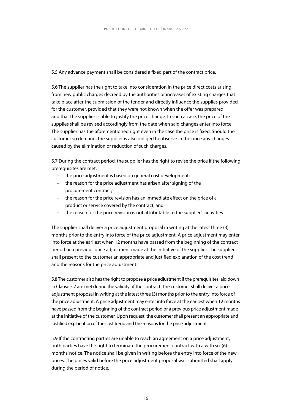5.5 Any advance payment shall be considered a fixed part of the contract price.

5.6 The supplier has the right to take into consideration in the price direct costs arising from new public charges decreed by the authorities or increases of existing charges that take place after the submission of the tender and directly influence the supplies provided for the customer, provided that they were not known when the offer was prepared and that the supplier is able to justify the price change. In such a case, the price of the supplies shall be revised accordingly from the date when said changes enter into force. The supplier has the aforementioned right even in the case the price is fixed. Should the customer so demand, the supplier is also obliged to observe in the price any changes caused by the elimination or reduction of such charges.

5.7 During the contract period, the supplier has the right to revise the price if the following prerequisites are met:

- − the price adjustment is based on general cost development;
- − the reason for the price adjustment has arisen after signing of the procurement contract;
- − the reason for the price revision has an immediate effect on the price of a product or service covered by the contract; and
- − the reason for the price revision is not attributable to the supplier's activities.

The supplier shall deliver a price adjustment proposal in writing at the latest three (3) months prior to the entry into force of the price adjustment. A price adjustment may enter into force at the earliest when 12 months have passed from the beginning of the contract period or a previous price adjustment made at the initiative of the supplier. The supplier shall present to the customer an appropriate and justified explanation of the cost trend and the reasons for the price adjustment.

5.8 The customer also has the right to propose a price adjustment if the prerequisites laid down in Clause 5.7 are met during the validity of the contract. The customer shall deliver a price adjustment proposal in writing at the latest three (3) months prior to the entry into force of the price adjustment. A price adjustment may enter into force at the earliest when 12 months have passed from the beginning of the contract period or a previous price adjustment made at the initiative of the customer. Upon request, the customer shall present an appropriate and justified explanation of the cost trend and the reasons for the price adjustment.

5.9 If the contracting parties are unable to reach an agreement on a price adjustment, both parties have the right to terminate the procurement contract with a with six (6) months' notice. The notice shall be given in writing before the entry into force of the new prices. The prices valid before the price adjustment proposal was submitted shall apply during the period of notice.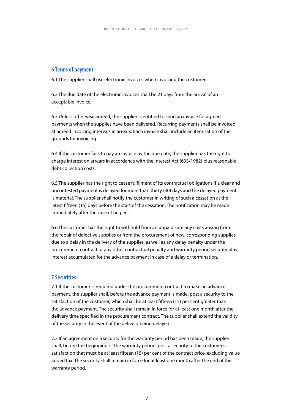#### <span id="page-17-0"></span>**6 Terms of payment**

6.1 The supplier shall use electronic invoices when invoicing the customer.

6.2 The due date of the electronic invoices shall be 21 days from the arrival of an acceptable invoice.

6.3 Unless otherwise agreed, the supplier is entitled to send an invoice for agreed payments when the supplies have been delivered. Recurring payments shall be invoiced at agreed invoicing intervals in arrears. Each invoice shall include an itemisation of the grounds for invoicing.

6.4 If the customer fails to pay an invoice by the due date, the supplier has the right to charge interest on arrears in accordance with the Interest Act (633/1982) plus reasonable debt collection costs.

6.5 The supplier has the right to cease fulfilment of its contractual obligations if a clear and uncontested payment is delayed for more than thirty (30) days and the delayed payment is material. The supplier shall notify the customer in writing of such a cessation at the latest fifteen (15) days before the start of the cessation. The notification may be made immediately after the case of neglect.

6.6 The customer has the right to withhold from an unpaid sum any costs arising from the repair of defective supplies or from the procurement of new, corresponding supplies due to a delay in the delivery of the supplies, as well as any delay penalty under the procurement contract or any other contractual penalty and warranty period security plus interest accumulated for the advance payment in case of a delay or termination.

#### **7 Securities**

7.1 If the customer is required under the procurement contract to make an advance payment, the supplier shall, before the advance payment is made, post a security to the satisfaction of the customer, which shall be at least fifteen (15) per cent greater than the advance payment. The security shall remain in force for at least one month after the delivery time specified in the procurement contract. The supplier shall extend the validity of the security in the event of the delivery being delayed.

7.2 If an agreement on a security for the warranty period has been made, the supplier shall, before the beginning of the warranty period, post a security to the customer's satisfaction that must be at least fifteen (15) per cent of the contract price, excluding value added tax. The security shall remain in force for at least one month after the end of the warranty period.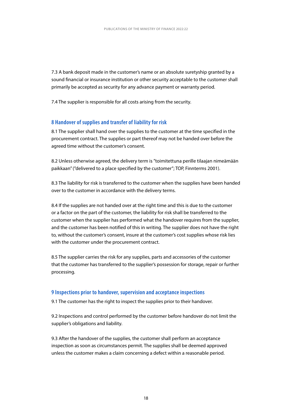<span id="page-18-0"></span>7.3 A bank deposit made in the customer's name or an absolute suretyship granted by a sound financial or insurance institution or other security acceptable to the customer shall primarily be accepted as security for any advance payment or warranty period.

7.4 The supplier is responsible for all costs arising from the security.

#### **8 Handover of supplies and transfer of liability for risk**

8.1 The supplier shall hand over the supplies to the customer at the time specified in the procurement contract. The supplies or part thereof may not be handed over before the agreed time without the customer's consent.

8.2 Unless otherwise agreed, the delivery term is "toimitettuna perille tilaajan nimeämään paikkaan" (''delivered to a place specified by the customer"; TOP, Finnterms 2001).

8.3 The liability for risk is transferred to the customer when the supplies have been handed over to the customer in accordance with the delivery terms.

8.4 If the supplies are not handed over at the right time and this is due to the customer or a factor on the part of the customer, the liability for risk shall be transferred to the customer when the supplier has performed what the handover requires from the supplier, and the customer has been notified of this in writing. The supplier does not have the right to, without the customer's consent, insure at the customer's cost supplies whose risk lies with the customer under the procurement contract.

8.5 The supplier carries the risk for any supplies, parts and accessories of the customer that the customer has transferred to the supplier's possession for storage, repair or further processing.

#### **9 Inspections prior to handover, supervision and acceptance inspections**

9.1 The customer has the right to inspect the supplies prior to their handover.

9.2 Inspections and control performed by the customer before handover do not limit the supplier's obligations and liability.

9.3 After the handover of the supplies, the customer shall perform an acceptance inspection as soon as circumstances permit. The supplies shall be deemed approved unless the customer makes a claim concerning a defect within a reasonable period.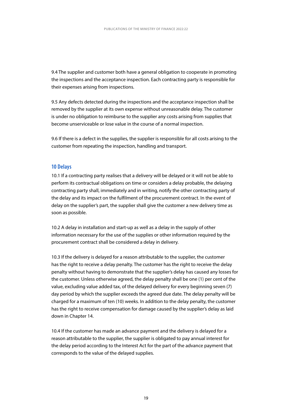<span id="page-19-0"></span>9.4 The supplier and customer both have a general obligation to cooperate in promoting the inspections and the acceptance inspection. Each contracting party is responsible for their expenses arising from inspections.

9.5 Any defects detected during the inspections and the acceptance inspection shall be removed by the supplier at its own expense without unreasonable delay. The customer is under no obligation to reimburse to the supplier any costs arising from supplies that become unserviceable or lose value in the course of a normal inspection.

9.6 If there is a defect in the supplies, the supplier is responsible for all costs arising to the customer from repeating the inspection, handling and transport.

#### **10 Delays**

10.1 If a contracting party realises that a delivery will be delayed or it will not be able to perform its contractual obligations on time or considers a delay probable, the delaying contracting party shall, immediately and in writing, notify the other contracting party of the delay and its impact on the fulfilment of the procurement contract. In the event of delay on the supplier's part, the supplier shall give the customer a new delivery time as soon as possible.

10.2 A delay in installation and start-up as well as a delay in the supply of other information necessary for the use of the supplies or other information required by the procurement contract shall be considered a delay in delivery.

10.3 If the delivery is delayed for a reason attributable to the supplier, the customer has the right to receive a delay penalty. The customer has the right to receive the delay penalty without having to demonstrate that the supplier's delay has caused any losses for the customer. Unless otherwise agreed, the delay penalty shall be one (1) per cent of the value, excluding value added tax, of the delayed delivery for every beginning seven (7) day period by which the supplier exceeds the agreed due date. The delay penalty will be charged for a maximum of ten (10) weeks. In addition to the delay penalty, the customer has the right to receive compensation for damage caused by the supplier's delay as laid down in Chapter 14.

10.4 If the customer has made an advance payment and the delivery is delayed for a reason attributable to the supplier, the supplier is obligated to pay annual interest for the delay period according to the Interest Act for the part of the advance payment that corresponds to the value of the delayed supplies.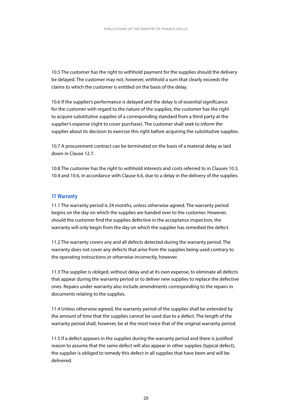<span id="page-20-0"></span>10.5 The customer has the right to withhold payment for the supplies should the delivery be delayed. The customer may not, however, withhold a sum that clearly exceeds the claims to which the customer is entitled on the basis of the delay.

10.6 If the supplier's performance is delayed and the delay is of essential significance for the customer with regard to the nature of the supplies, the customer has the right to acquire substitutive supplies of a corresponding standard from a third party at the supplier's expense (right to cover purchase). The customer shall seek to inform the supplier about its decision to exercise this right before acquiring the substitutive supplies.

10.7 A procurement contract can be terminated on the basis of a material delay as laid down in Clause 12.7.

10.8 The customer has the right to withhold interests and costs referred to in Clauses 10.3, 10.4 and 10.6, in accordance with Clause 6.6, due to a delay in the delivery of the supplies.

#### **11 Warranty**

11.1 The warranty period is 24 months, unless otherwise agreed. The warranty period begins on the day on which the supplies are handed over to the customer. However, should the customer find the supplies defective in the acceptance inspection, the warranty will only begin from the day on which the supplier has remedied the defect.

11.2 The warranty covers any and all defects detected during the warranty period. The warranty does not cover any defects that arise from the supplies being used contrary to the operating instructions or otherwise incorrectly, however.

11.3 The supplier is obliged, without delay and at its own expense, to eliminate all defects that appear during the warranty period or to deliver new supplies to replace the defective ones. Repairs under warranty also include amendments corresponding to the repairs in documents relating to the supplies.

11.4 Unless otherwise agreed, the warranty period of the supplies shall be extended by the amount of time that the supplies cannot be used due to a defect. The length of the warranty period shall, however, be at the most twice that of the original warranty period.

11.5 If a defect appears in the supplies during the warranty period and there is justified reason to assume that the same defect will also appear in other supplies (typical defect), the supplier is obliged to remedy this defect in all supplies that have been and will be delivered.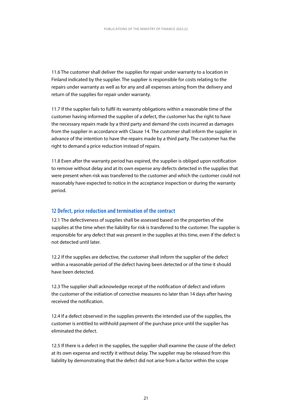<span id="page-21-0"></span>11.6 The customer shall deliver the supplies for repair under warranty to a location in Finland indicated by the supplier. The supplier is responsible for costs relating to the repairs under warranty as well as for any and all expenses arising from the delivery and return of the supplies for repair under warranty.

11.7 If the supplier fails to fulfil its warranty obligations within a reasonable time of the customer having informed the supplier of a defect, the customer has the right to have the necessary repairs made by a third party and demand the costs incurred as damages from the supplier in accordance with Clause 14. The customer shall inform the supplier in advance of the intention to have the repairs made by a third party. The customer has the right to demand a price reduction instead of repairs.

11.8 Even after the warranty period has expired, the supplier is obliged upon notification to remove without delay and at its own expense any defects detected in the supplies that were present when risk was transferred to the customer and which the customer could not reasonably have expected to notice in the acceptance inspection or during the warranty period.

#### **12 Defect, price reduction and termination of the contract**

12.1 The defectiveness of supplies shall be assessed based on the properties of the supplies at the time when the liability for risk is transferred to the customer. The supplier is responsible for any defect that was present in the supplies at this time, even if the defect is not detected until later.

12.2 If the supplies are defective, the customer shall inform the supplier of the defect within a reasonable period of the defect having been detected or of the time it should have been detected.

12.3 The supplier shall acknowledge receipt of the notification of defect and inform the customer of the initiation of corrective measures no later than 14 days after having received the notification.

12.4 If a defect observed in the supplies prevents the intended use of the supplies, the customer is entitled to withhold payment of the purchase price until the supplier has eliminated the defect.

12.5 If there is a defect in the supplies, the supplier shall examine the cause of the defect at its own expense and rectify it without delay. The supplier may be released from this liability by demonstrating that the defect did not arise from a factor within the scope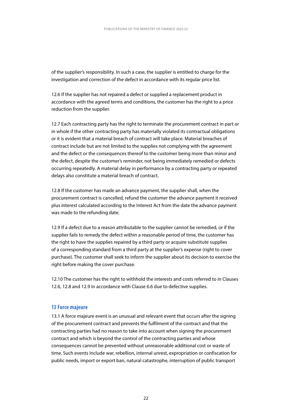<span id="page-22-0"></span>of the supplier's responsibility. In such a case, the supplier is entitled to charge for the investigation and correction of the defect in accordance with its regular price list.

12.6 If the supplier has not repaired a defect or supplied a replacement product in accordance with the agreed terms and conditions, the customer has the right to a price reduction from the supplier.

12.7 Each contracting party has the right to terminate the procurement contract in part or in whole if the other contracting party has materially violated its contractual obligations or it is evident that a material breach of contract will take place. Material breaches of contract include but are not limited to the supplies not complying with the agreement and the defect or the consequences thereof to the customer being more than minor and the defect, despite the customer's reminder, not being immediately remedied or defects occurring repeatedly. A material delay in performance by a contracting party or repeated delays also constitute a material breach of contract.

12.8 If the customer has made an advance payment, the supplier shall, when the procurement contract is cancelled, refund the customer the advance payment it received plus interest calculated according to the Interest Act from the date the advance payment was made to the refunding date.

12.9 If a defect due to a reason attributable to the supplier cannot be remedied, or if the supplier fails to remedy the defect within a reasonable period of time, the customer has the right to have the supplies repaired by a third party or acquire substitute supplies of a corresponding standard from a third party at the supplier's expense (right to cover purchase). The customer shall seek to inform the supplier about its decision to exercise the right before making the cover purchase.

12.10 The customer has the right to withhold the interests and costs referred to in Clauses 12.6, 12.8 and 12.9 in accordance with Clause 6.6 due to defective supplies.

#### **13 Force majeure**

13.1 A force majeure event is an unusual and relevant event that occurs after the signing of the procurement contract and prevents the fulfilment of the contract and that the contracting parties had no reason to take into account when signing the procurement contract and which is beyond the control of the contracting parties and whose consequences cannot be prevented without unreasonable additional cost or waste of time. Such events include war, rebellion, internal unrest, expropriation or confiscation for public needs, import or export ban, natural catastrophe, interruption of public transport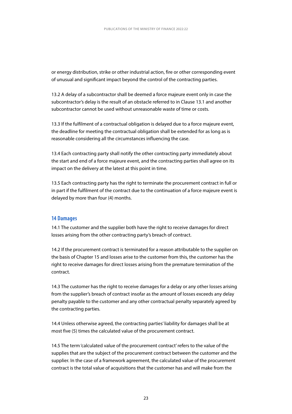<span id="page-23-0"></span>or energy distribution, strike or other industrial action, fire or other corresponding event of unusual and significant impact beyond the control of the contracting parties.

13.2 A delay of a subcontractor shall be deemed a force majeure event only in case the subcontractor's delay is the result of an obstacle referred to in Clause 13.1 and another subcontractor cannot be used without unreasonable waste of time or costs.

13.3 If the fulfilment of a contractual obligation is delayed due to a force majeure event, the deadline for meeting the contractual obligation shall be extended for as long as is reasonable considering all the circumstances influencing the case.

13.4 Each contracting party shall notify the other contracting party immediately about the start and end of a force majeure event, and the contracting parties shall agree on its impact on the delivery at the latest at this point in time.

13.5 Each contracting party has the right to terminate the procurement contract in full or in part if the fulfilment of the contract due to the continuation of a force majeure event is delayed by more than four (4) months.

#### **14 Damages**

14.1 The customer and the supplier both have the right to receive damages for direct losses arising from the other contracting party's breach of contract.

14.2 If the procurement contract is terminated for a reason attributable to the supplier on the basis of Chapter 15 and losses arise to the customer from this, the customer has the right to receive damages for direct losses arising from the premature termination of the contract.

14.3 The customer has the right to receive damages for a delay or any other losses arising from the supplier's breach of contract insofar as the amount of losses exceeds any delay penalty payable to the customer and any other contractual penalty separately agreed by the contracting parties.

14.4 Unless otherwise agreed, the contracting parties' liability for damages shall be at most five (5) times the calculated value of the procurement contract.

14.5 The term 'calculated value of the procurement contract' refers to the value of the supplies that are the subject of the procurement contract between the customer and the supplier. In the case of a framework agreement, the calculated value of the procurement contract is the total value of acquisitions that the customer has and will make from the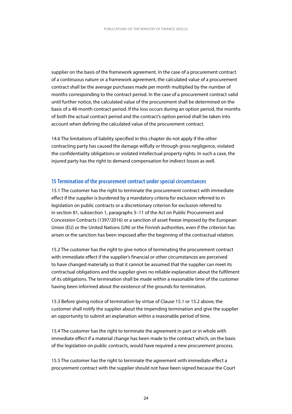<span id="page-24-0"></span>supplier on the basis of the framework agreement. In the case of a procurement contract of a continuous nature or a framework agreement, the calculated value of a procurement contract shall be the average purchases made per month multiplied by the number of months corresponding to the contract period. In the case of a procurement contract valid until further notice, the calculated value of the procurement shall be determined on the basis of a 48-month contract period. If the loss occurs during an option period, the months of both the actual contract period and the contract's option period shall be taken into account when defining the calculated value of the procurement contract.

14.6 The limitations of liability specified in this chapter do not apply if the other contracting party has caused the damage wilfully or through gross negligence, violated the confidentiality obligations or violated intellectual property rights. In such a case, the injured party has the right to demand compensation for indirect losses as well.

#### **15 Termination of the procurement contract under special circumstances**

15.1 The customer has the right to terminate the procurement contract with immediate effect if the supplier is burdened by a mandatory criteria for exclusion referred to in legislation on public contracts or a discretionary criterion for exclusion referred to in section 81, subsection 1, paragraphs 3–11 of the Act on Public Procurement and Concession Contracts (1397/2016) or a sanction of asset freeze imposed by the European Union (EU) or the United Nations (UN) or the Finnish authorities, even if the criterion has arisen or the sanction has been imposed after the beginning of the contractual relation.

15.2 The customer has the right to give notice of terminating the procurement contract with immediate effect if the supplier's financial or other circumstances are perceived to have changed materially so that it cannot be assumed that the supplier can meet its contractual obligations and the supplier gives no reliable explanation about the fulfilment of its obligations. The termination shall be made within a reasonable time of the customer having been informed about the existence of the grounds for termination.

15.3 Before giving notice of termination by virtue of Clause 15.1 or 15.2 above, the customer shall notify the supplier about the impending termination and give the supplier an opportunity to submit an explanation within a reasonable period of time.

15.4 The customer has the right to terminate the agreement in part or in whole with immediate effect if a material change has been made to the contract which, on the basis of the legislation on public contracts, would have required a new procurement process.

15.5 The customer has the right to terminate the agreement with immediate effect a procurement contract with the supplier should not have been signed because the Court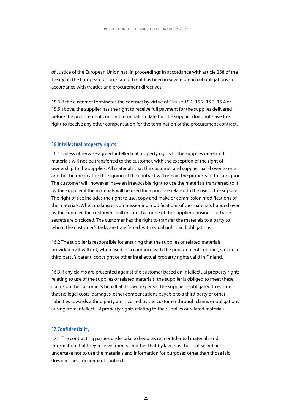<span id="page-25-0"></span>of Justice of the European Union has, in proceedings in accordance with article 258 of the Treaty on the European Union, stated that it has been in severe breach of obligations in accordance with treaties and procurement directives.

15.6 If the customer terminates the contract by virtue of Clause 15.1, 15.2, 15.3, 15.4 or 15.5 above, the supplier has the right to receive full payment for the supplies delivered before the procurement contract termination date but the supplier does not have the right to receive any other compensation for the termination of the procurement contract.

#### **16 Intellectual property rights**

16.1 Unless otherwise agreed, intellectual property rights to the supplies or related materials will not be transferred to the customer, with the exception of the right of ownership to the supplies. All materials that the customer and supplier hand over to one another before or after the signing of the contract will remain the property of the assignor. The customer will, however, have an irrevocable right to use the materials transferred to it by the supplier if the materials will be used for a purpose related to the use of the supplies. The right of use includes the right to use, copy and make or commission modifications of the materials. When making or commissioning modifications of the materials handed over by the supplier, the customer shall ensure that none of the supplier's business or trade secrets are disclosed. The customer has the right to transfer the materials to a party to whom the customer's tasks are transferred, with equal rights and obligations.

16.2 The supplier is responsible for ensuring that the supplies or related materials provided by it will not, when used in accordance with the procurement contract, violate a third party's patent, copyright or other intellectual property rights valid in Finland.

16.3 If any claims are presented against the customer based on intellectual property rights relating to use of the supplies or related materials, the supplier is obliged to meet these claims on the customer's behalf at its own expense. The supplier is obligated to ensure that no legal costs, damages, other compensations payable to a third party or other liabilities towards a third party are incurred by the customer through claims or obligations arising from intellectual property rights relating to the supplies or related materials.

#### **17 Confidentiality**

17.1 The contracting parties undertake to keep secret confidential materials and information that they receive from each other that by law must be kept secret and undertake not to use the materials and information for purposes other than those laid down in the procurement contract.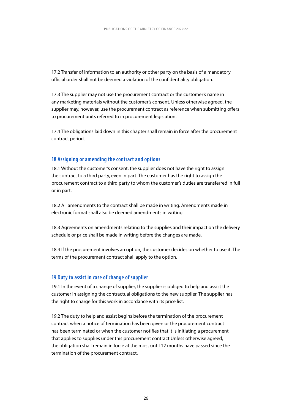<span id="page-26-0"></span>17.2 Transfer of information to an authority or other party on the basis of a mandatory official order shall not be deemed a violation of the confidentiality obligation.

17.3 The supplier may not use the procurement contract or the customer's name in any marketing materials without the customer's consent. Unless otherwise agreed, the supplier may, however, use the procurement contract as reference when submitting offers to procurement units referred to in procurement legislation.

17.4 The obligations laid down in this chapter shall remain in force after the procurement contract period.

#### **18 Assigning or amending the contract and options**

18.1 Without the customer's consent, the supplier does not have the right to assign the contract to a third party, even in part. The customer has the right to assign the procurement contract to a third party to whom the customer's duties are transferred in full or in part.

18.2 All amendments to the contract shall be made in writing. Amendments made in electronic format shall also be deemed amendments in writing.

18.3 Agreements on amendments relating to the supplies and their impact on the delivery schedule or price shall be made in writing before the changes are made.

18.4 If the procurement involves an option, the customer decides on whether to use it. The terms of the procurement contract shall apply to the option.

#### **19 Duty to assist in case of change of supplier**

19.1 In the event of a change of supplier, the supplier is obliged to help and assist the customer in assigning the contractual obligations to the new supplier. The supplier has the right to charge for this work in accordance with its price list.

19.2 The duty to help and assist begins before the termination of the procurement contract when a notice of termination has been given or the procurement contract has been terminated or when the customer notifies that it is initiating a procurement that applies to supplies under this procurement contract Unless otherwise agreed, the obligation shall remain in force at the most until 12 months have passed since the termination of the procurement contract.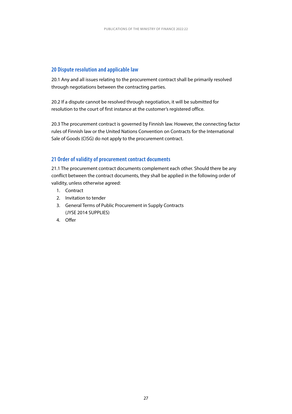#### <span id="page-27-0"></span>**20 Dispute resolution and applicable law**

20.1 Any and all issues relating to the procurement contract shall be primarily resolved through negotiations between the contracting parties.

20.2 If a dispute cannot be resolved through negotiation, it will be submitted for resolution to the court of first instance at the customer's registered office.

20.3 The procurement contract is governed by Finnish law. However, the connecting factor rules of Finnish law or the United Nations Convention on Contracts for the International Sale of Goods (CISG) do not apply to the procurement contract.

#### **21 Order of validity of procurement contract documents**

21.1 The procurement contract documents complement each other. Should there be any conflict between the contract documents, they shall be applied in the following order of validity, unless otherwise agreed:

- 1. Contract
- 2. Invitation to tender
- 3. General Terms of Public Procurement in Supply Contracts (JYSE 2014 SUPPLIES)
- 4. Offer